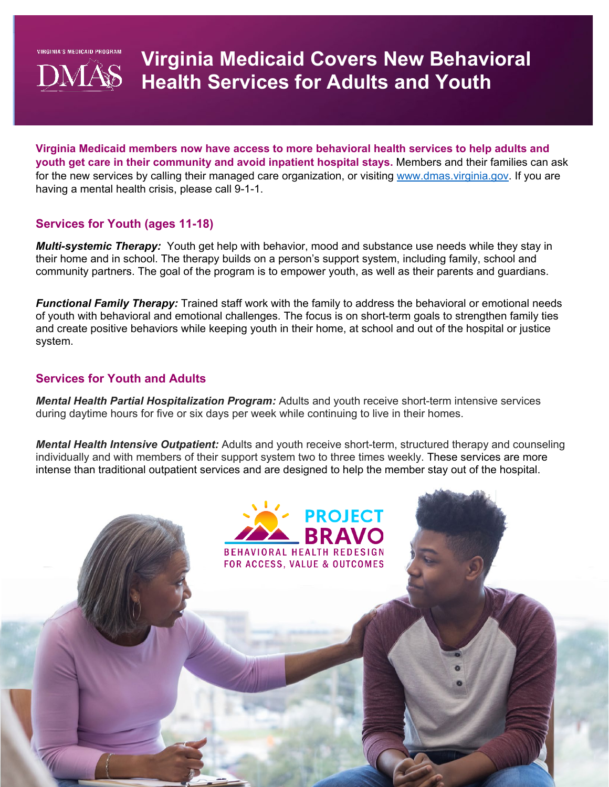**VIRGINIA'S MEDICAID PROGRAM** 



# **Virginia Medicaid Covers New Behavioral Health Services for Adults and Youth**

**Virginia Medicaid members now have access to more behavioral health services to help adults and youth get care in their community and avoid inpatient hospital stays.** Members and their families can ask for the new services by calling their managed care organization, or visiting [www.dmas.virginia.gov.](http://www.dmas.virginia.gov/) If you are having a mental health crisis, please call 9-1-1.

# **Services for Youth (ages 11-18)**

*Multi-systemic Therapy:* Youth get help with behavior, mood and substance use needs while they stay in their home and in school. The therapy builds on a person's support system, including family, school and community partners. The goal of the program is to empower youth, as well as their parents and guardians.

*Functional Family Therapy:* Trained staff work with the family to address the behavioral or emotional needs of youth with behavioral and emotional challenges. The focus is on short-term goals to strengthen family ties and create positive behaviors while keeping youth in their home, at school and out of the hospital or justice system.

# **Services for Youth and Adults**

*Mental Health Partial Hospitalization Program:* Adults and youth receive short-term intensive services during daytime hours for five or six days per week while continuing to live in their homes.

*Mental Health Intensive Outpatient:* Adults and youth receive short-term, structured therapy and counseling individually and with members of their support system two to three times weekly. These services are more intense than traditional outpatient services and are designed to help the member stay out of the hospital.

> **BEHAVIORAL HEALTH REDESIGN FOR ACCESS, VALUE & OUTCOMES**

**PROJECT** 

**RRAVO**